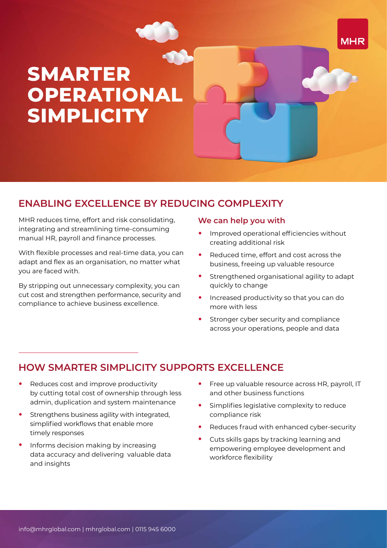# **SMARTER OPERATIONAL SIMPLICITY**

## **ENABLING EXCELLENCE BY REDUCING COMPLEXITY**

MHR reduces time, effort and risk consolidating, integrating and streamlining time-consuming manual HR, payroll and finance processes.

With flexible processes and real-time data, you can adapt and flex as an organisation, no matter what you are faced with.

By stripping out unnecessary complexity, you can cut cost and strengthen performance, security and compliance to achieve business excellence.

#### **We can help you with**

**•** Improved operational efficiencies without creating additional risk

**MHR** 

- **•** Reduced time, effort and cost across the business, freeing up valuable resource
- **•** Strengthened organisational agility to adapt quickly to change
- **•** Increased productivity so that you can do more with less
- **•** Stronger cyber security and compliance across your operations, people and data

# **HOW SMARTER SIMPLICITY SUPPORTS EXCELLENCE**

- **•** Reduces cost and improve productivity by cutting total cost of ownership through less admin, duplication and system maintenance
- **•** Strengthens business agility with integrated, simplified workflows that enable more timely responses
- **•** Informs decision making by increasing data accuracy and delivering valuable data and insights
- **•** Free up valuable resource across HR, payroll, IT and other business functions
- **•** Simplifies legislative complexity to reduce compliance risk
- **•** Reduces fraud with enhanced cyber-security
- **•** Cuts skills gaps by tracking learning and empowering employee development and workforce flexibility